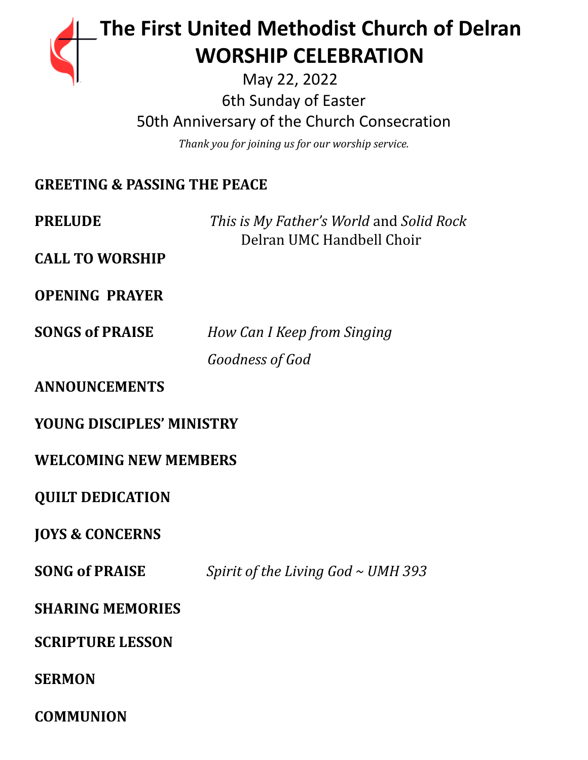

# **The First United Methodist Church of Delran …… … WORSHIP CELEBRATION**

May 22, 2022 6th Sunday of Easter 50th Anniversary of the Church Consecration

*Thank you for joining us for our worship service.*

# **GREETING & PASSING THE PEACE**

**PRELUDE** *This is My Father's World* and *Solid Rock* Delran UMC Handbell Choir

**CALL TO WORSHIP**

**OPENING PRAYER**

**SONGS of PRAISE** *How Can I Keep from Singing Goodness of God*

**ANNOUNCEMENTS**

**YOUNG DISCIPLES' MINISTRY**

**WELCOMING NEW MEMBERS**

**QUILT DEDICATION**

**JOYS & CONCERNS**

**SONG of PRAISE** *Spirit of the Living God ~ UMH 393*

**SHARING MEMORIES**

**SCRIPTURE LESSON**

**SERMON**

**COMMUNION**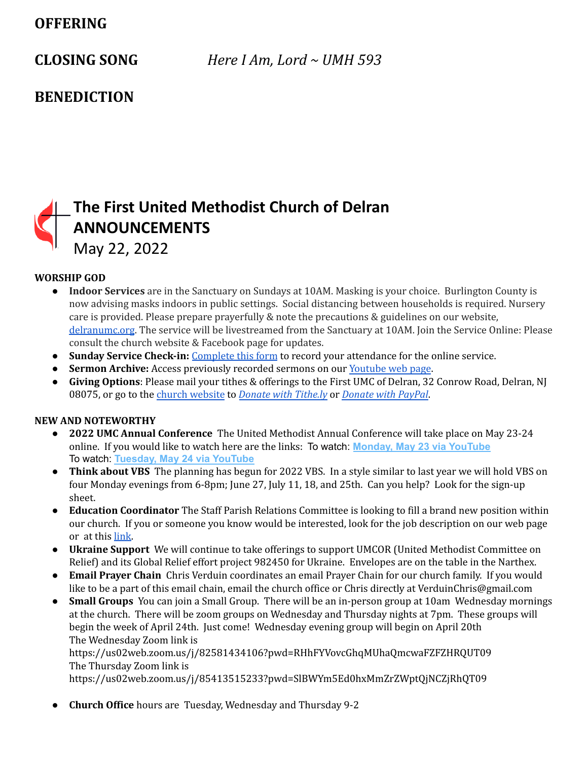## **OFFERING**

**CLOSING SONG** *Here I Am, Lord ~ UMH 593*

## **BENEDICTION**

# **The First United Methodist Church of Delran ANNOUNCEMENTS**

May 22, 2022

### **WORSHIP GOD**

- **Indoor Services** are in the Sanctuary on Sundays at 10AM. Masking is your choice. Burlington County is now advising masks indoors in public settings. Social distancing between households is required. Nursery care is provided. Please prepare prayerfully & note the precautions & guidelines on our website, [delranumc.org](http://www.delranumc.org). The service will be livestreamed from the Sanctuary at 10AM. Join the Service Online: Please consult the church website & Facebook page for updates.
- **Sunday Service Check-in:** [Complete](http://www.delranumc.org/checkin) this form to record your attendance for the online service.
- **Sermon Archive:** Access previously recorded sermons on our [Youtube](https://www.youtube.com/results?search_query=delran+first+umc+channel) web page.
- **Giving Options**: Please mail your tithes & offerings to the First UMC of Delran, 32 Conrow Road, Delran, NJ 08075, or go to the church [website](http://www.delranumc.org) to *Donate with [Tithe.ly](https://tithe.ly/give?c=1379451)* or *[Donate](https://www.paypal.com/donate/?token=JgyQQyCzJSzuWb-4M_kVuUa8ORCkKdbhPebT-DwrySzFpiafxE6LsZCirp50sAsR0jT_60&country.x=US&locale.x=) with PayPal*.

### **NEW AND NOTEWORTHY**

- **● 2022 UMC Annual Conference** The United Methodist Annual Conference will take place on May 23-24 online. If you would like to watch here are the links: To watch: **[Monday, May 23 via YouTube](https://gnjumc.us11.list-manage.com/track/click?u=b2ab2248b91542a5f476025fe&id=7d3c7a7145&e=73a8a4c6df)** To watch: **[Tuesday, May 24 via YouTube](https://gnjumc.us11.list-manage.com/track/click?u=b2ab2248b91542a5f476025fe&id=cd753cff5c&e=73a8a4c6df)**
- **● Think about VBS** The planning has begun for 2022 VBS. In a style similar to last year we will hold VBS on four Monday evenings from 6-8pm; June 27, July 11, 18, and 25th. Can you help? Look for the sign-up sheet.
- **● Education Coordinator** The Staff Parish Relations Committee is looking to fill a brand new position within our church. If you or someone you know would be interested, look for the job description on our web page or at this [link.](http://delranumc.org/staff)
- **Ukraine Support** We will continue to take offerings to support UMCOR (United Methodist Committee on Relief) and its Global Relief effort project 982450 for Ukraine. Envelopes are on the table in the Narthex.
- **● Email Prayer Chain** Chris Verduin coordinates an email Prayer Chain for our church family. If you would like to be a part of this email chain, email the church office or Chris directly at VerduinChris@gmail.com
- **● Small Groups** You can join a Small Group. There will be an in-person group at 10am Wednesday mornings at the church. There will be zoom groups on Wednesday and Thursday nights at 7pm. These groups will begin the week of April 24th. Just come! Wednesday evening group will begin on April 20th The Wednesday Zoom link is

https://us02web.zoom.us/j/82581434106?pwd=RHhFYVovcGhqMUhaQmcwaFZFZHRQUT09 The Thursday Zoom link is

https://us02web.zoom.us/j/85413515233?pwd=SlBWYm5Ed0hxMmZrZWptQjNCZjRhQT09

● **Church Office** hours are Tuesday, Wednesday and Thursday 9-2